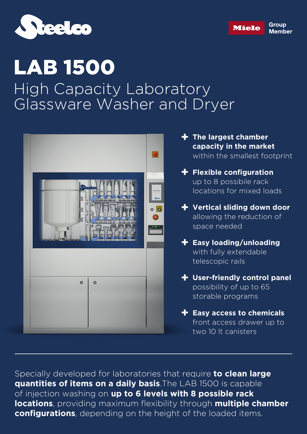



## LAB 1500 High Capacity Laboratory Glassware Washer and Dryer



Specially developed for laboratories that require **to clean large quantities of items on a daily basis**.The LAB 1500 is capable of injection washing on **up to 6 levels with 8 possible rack locations**, providing maximum flexibility through **multiple chamber configurations**, depending on the height of the loaded items.